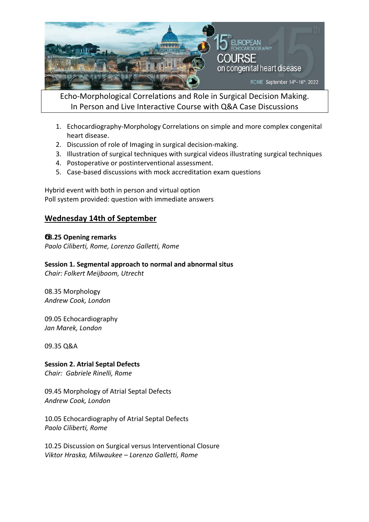

Echo‐Morphological Correlations and Role in Surgical Decision Making. In Person and Live Interactive Course with Q&A Case Discussions

- 1. Echocardiography‐Morphology Correlations on simple and more complex congenital heart disease.
- 2. Discussion of role of Imaging in surgical decision‐making.
- 3. Illustration of surgical techniques with surgical videos illustrating surgical techniques
- 4. Postoperative or postinterventional assessment.
- 5. Case‐based discussions with mock accreditation exam questions

Hybrid event with both in person and virtual option Poll system provided: question with immediate answers

# **Wednesday 14th of September**

## **8.25 Opening remarks**

*Paolo Ciliberti, Rome, Lorenzo Galletti, Rome* 

## **Session 1. Segmental approach to normal and abnormal situs**

*Chair: Folkert Meijboom, Utrecht* 

08.35 Morphology *Andrew Cook, London* 

09.05 Echocardiography *Jan Marek, London* 

09.35 Q&A

**Session 2. Atrial Septal Defects**  *Chair: Gabriele Rinelli, Rome* 

09.45 Morphology of Atrial Septal Defects

*Andrew Cook, London* 

10.05 Echocardiography of Atrial Septal Defects *Paolo Ciliberti, Rome* 

10.25 Discussion on Surgical versus Interventional Closure *Viktor Hraska, Milwaukee – Lorenzo Galletti, Rome*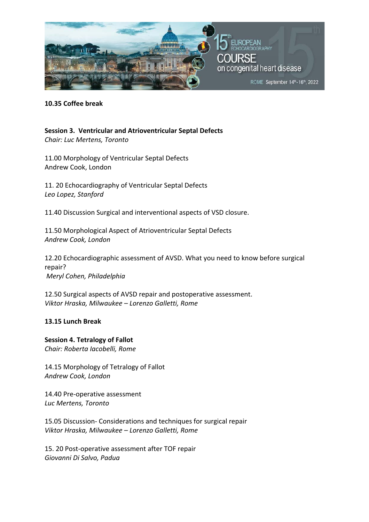

#### **10.35 Coffee break**

**Session 3. Ventricular and Atrioventricular Septal Defects**  *Chair: Luc Mertens, Toronto* 

11.00 Morphology of Ventricular Septal Defects Andrew Cook, London

11. 20 Echocardiography of Ventricular Septal Defects *Leo Lopez, Stanford* 

11.40 Discussion Surgical and interventional aspects of VSD closure.

11.50 Morphological Aspect of Atrioventricular Septal Defects *Andrew Cook, London* 

12.20 Echocardiographic assessment of AVSD. What you need to know before surgical repair?  *Meryl Cohen, Philadelphia* 

12.50 Surgical aspects of AVSD repair and postoperative assessment. *Viktor Hraska, Milwaukee – Lorenzo Galletti, Rome* 

## **13.15 Lunch Break**

**Session 4. Tetralogy of Fallot**  *Chair: Roberta Iacobelli, Rome* 

14.15 Morphology of Tetralogy of Fallot *Andrew Cook, London* 

14.40 Pre‐operative assessment *Luc Mertens, Toronto* 

15.05 Discussion‐ Considerations and techniques for surgical repair *Viktor Hraska, Milwaukee – Lorenzo Galletti, Rome* 

15. 20 Post‐operative assessment after TOF repair *Giovanni Di Salvo, Padua*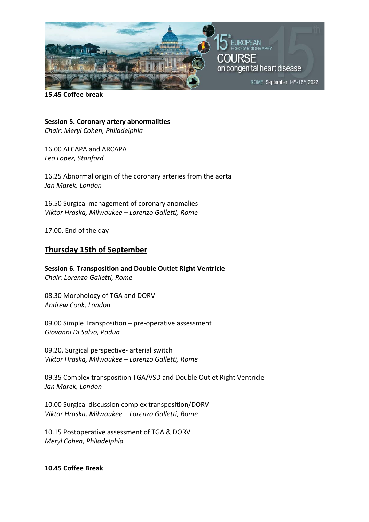

**15.45 Coffee break** 

**Session 5. Coronary artery abnormalities**  *Chair: Meryl Cohen, Philadelphia* 

16.00 ALCAPA and ARCAPA *Leo Lopez, Stanford* 

16.25 Abnormal origin of the coronary arteries from the aorta *Jan Marek, London* 

16.50 Surgical management of coronary anomalies *Viktor Hraska, Milwaukee – Lorenzo Galletti, Rome* 

17.00. End of the day

# **Thursday 15th of September**

**Session 6. Transposition and Double Outlet Right Ventricle**  *Chair: Lorenzo Galletti, Rome* 

08.30 Morphology of TGA and DORV *Andrew Cook, London* 

09.00 Simple Transposition – pre‐operative assessment *Giovanni Di Salvo, Padua* 

09.20. Surgical perspective‐ arterial switch *Viktor Hraska, Milwaukee – Lorenzo Galletti, Rome* 

09.35 Complex transposition TGA/VSD and Double Outlet Right Ventricle *Jan Marek, London*

10.00 Surgical discussion complex transposition/DORV *Viktor Hraska, Milwaukee – Lorenzo Galletti, Rome* 

10.15 Postoperative assessment of TGA & DORV *Meryl Cohen, Philadelphia* 

#### **10.45 Coffee Break**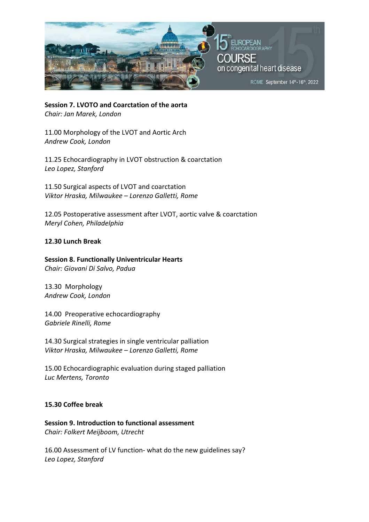

**Session 7. LVOTO and Coarctation of the aorta**  *Chair: Jan Marek, London* 

11.00 Morphology of the LVOT and Aortic Arch *Andrew Cook, London* 

11.25 Echocardiography in LVOT obstruction & coarctation *Leo Lopez, Stanford* 

11.50 Surgical aspects of LVOT and coarctation *Viktor Hraska, Milwaukee – Lorenzo Galletti, Rome* 

12.05 Postoperative assessment after LVOT, aortic valve & coarctation *Meryl Cohen, Philadelphia* 

## **12.30 Lunch Break**

**Session 8. Functionally Univentricular Hearts**  *Chair: Giovani Di Salvo, Padua* 

13.30 Morphology *Andrew Cook, London* 

14.00 Preoperative echocardiography *Gabriele Rinelli, Rome* 

14.30 Surgical strategies in single ventricular palliation *Viktor Hraska, Milwaukee – Lorenzo Galletti, Rome* 

15.00 Echocardiographic evaluation during staged palliation *Luc Mertens, Toronto* 

## **15.30 Coffee break**

**Session 9. Introduction to functional assessment**  *Chair: Folkert Meijboom, Utrecht* 

16.00 Assessment of LV function‐ what do the new guidelines say? *Leo Lopez, Stanford*